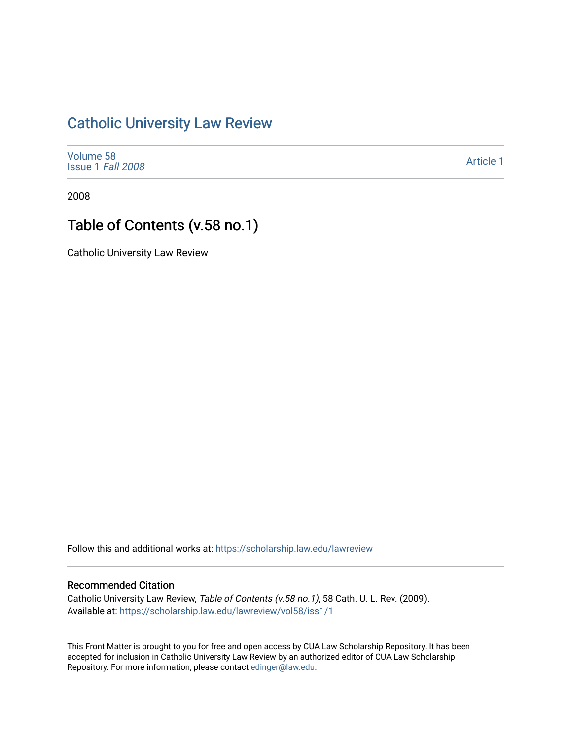## [Catholic University Law Review](https://scholarship.law.edu/lawreview)

| Volume 58         |  |
|-------------------|--|
| Issue 1 Fall 2008 |  |

[Article 1](https://scholarship.law.edu/lawreview/vol58/iss1/1) 

2008

# Table of Contents (v.58 no.1)

Catholic University Law Review

Follow this and additional works at: [https://scholarship.law.edu/lawreview](https://scholarship.law.edu/lawreview?utm_source=scholarship.law.edu%2Flawreview%2Fvol58%2Fiss1%2F1&utm_medium=PDF&utm_campaign=PDFCoverPages)

#### Recommended Citation

Catholic University Law Review, Table of Contents (v.58 no.1), 58 Cath. U. L. Rev. (2009). Available at: [https://scholarship.law.edu/lawreview/vol58/iss1/1](https://scholarship.law.edu/lawreview/vol58/iss1/1?utm_source=scholarship.law.edu%2Flawreview%2Fvol58%2Fiss1%2F1&utm_medium=PDF&utm_campaign=PDFCoverPages)

This Front Matter is brought to you for free and open access by CUA Law Scholarship Repository. It has been accepted for inclusion in Catholic University Law Review by an authorized editor of CUA Law Scholarship Repository. For more information, please contact [edinger@law.edu.](mailto:edinger@law.edu)